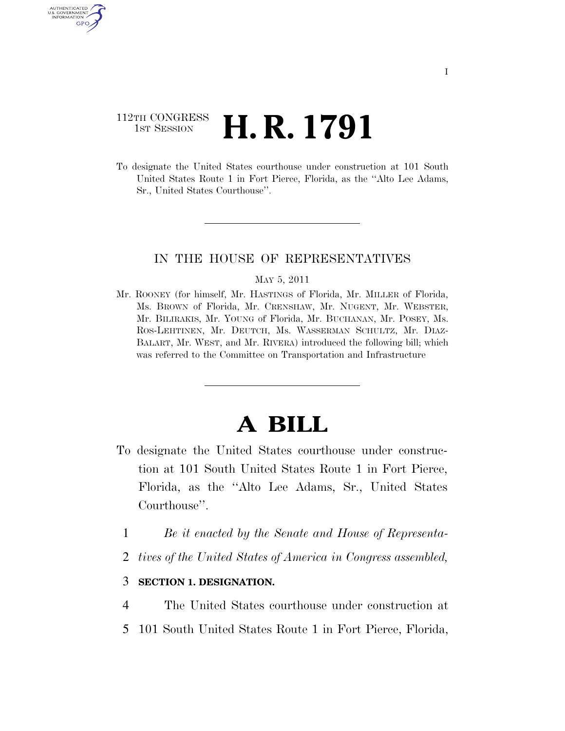## 112TH CONGRESS **1st Session H. R. 1791**

AUTHENTICATED U.S. GOVERNMENT GPO

> To designate the United States courthouse under construction at 101 South United States Route 1 in Fort Pierce, Florida, as the ''Alto Lee Adams, Sr., United States Courthouse''.

### IN THE HOUSE OF REPRESENTATIVES

#### MAY 5, 2011

Mr. ROONEY (for himself, Mr. HASTINGS of Florida, Mr. MILLER of Florida, Ms. BROWN of Florida, Mr. CRENSHAW, Mr. NUGENT, Mr. WEBSTER, Mr. BILIRAKIS, Mr. YOUNG of Florida, Mr. BUCHANAN, Mr. POSEY, Ms. ROS-LEHTINEN, Mr. DEUTCH, Ms. WASSERMAN SCHULTZ, Mr. DIAZ-BALART, Mr. WEST, and Mr. RIVERA) introduced the following bill; which was referred to the Committee on Transportation and Infrastructure

# **A BILL**

- To designate the United States courthouse under construction at 101 South United States Route 1 in Fort Pierce, Florida, as the ''Alto Lee Adams, Sr., United States Courthouse''.
	- 1 *Be it enacted by the Senate and House of Representa-*
	- 2 *tives of the United States of America in Congress assembled,*

### 3 **SECTION 1. DESIGNATION.**

- 4 The United States courthouse under construction at
- 5 101 South United States Route 1 in Fort Pierce, Florida,